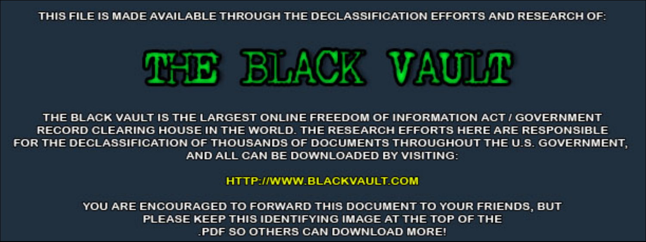THIS FILE IS MADE AVAILABLE THROUGH THE DECLASSIFICATION EFFORTS AND RESEARCH OF:



THE BLACK VAULT IS THE LARGEST ONLINE FREEDOM OF INFORMATION ACT / GOVERNMENT RECORD CLEARING HOUSE IN THE WORLD. THE RESEARCH EFFORTS HERE ARE RESPONSIBLE FOR THE DECLASSIFICATION OF THOUSANDS OF DOCUMENTS THROUGHOUT THE U.S. GOVERNMENT, AND ALL CAN BE DOWNLOADED BY VISITING:

**HTTP://WWW.BLACKVAULT.COM** 

YOU ARE ENCOURAGED TO FORWARD THIS DOCUMENT TO YOUR FRIENDS, BUT PLEASE KEEP THIS IDENTIFYING IMAGE AT THE TOP OF THE PDF SO OTHERS CAN DOWNLOAD MORE!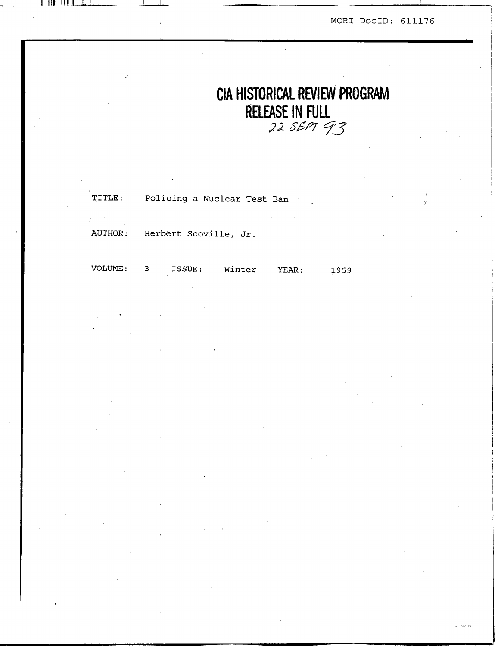# **CIA HISTORICAL REVIEW PROGRAM RELEASE IN FULL**<br>22 SEPT 93

| AUTHOR: Herbert Scoville, Jr. |  |
|-------------------------------|--|

| VOLUME: | ISSUE: | Winter | YEAR: | 1959 |
|---------|--------|--------|-------|------|
|         |        |        |       |      |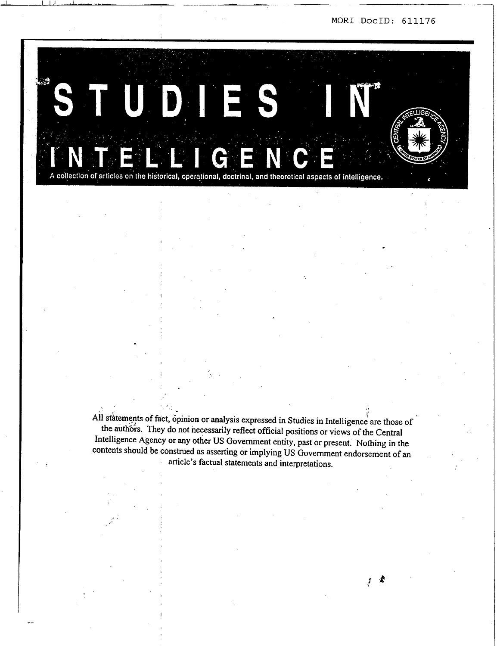J



I I .I.I I . , **I..** . , , **I** , , -- **I** 

All statements of fact, opinion or analysis expressed in Studies in Intelligence are those of the authors. They do not necessarily reflect official positions or views of the Central Intelligence Agency or any other US Government entity, past or present. Nothing in the contents should be construed **as** asserting or implying US Government endorsement of an article's factual statements and interpretations.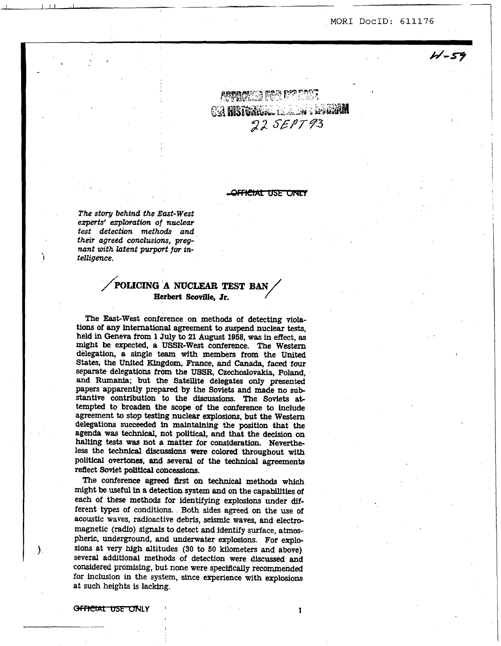$4 - 59$ 

\

ARRANGE FOR DELE CA HISTORICAL ELECTRIC REGION 22 SEPT93

<del>OFFICIAL USE ONLY</del>

*The story behind the East-West experts' exploration* **of** *nuclear*   $test$  detection methods and *their agreed cmlusim, pregnant with latent purport for in-***<sup>I</sup>***teltigence.* 

# **/kIJCING !A NUCLEAR TEST BAN Herbert Scoville, Jr.**

The East-West conference **on** methods of detecting violations of any international agreement to suspend nuclear tests, held in Geneva from **1 July** to **21 August 1958,** was in effect, **as**  might **be** expected, a USSR-West conference. The **Western**  delegation, a single team **with members from** the **United**  *States,* the United **Ehgdom,** France, and Canada, faced four separate delegations from the **USSR,** Czechoslovakia, Poland, **and Rumania;** but the Satellite delegates **only** presented papers apparently prepared by the Soviets and made no **sub**stantive contribution to the discussions. The Soviets ab tempted to broaden the **scope** of the conference to include agreement to stop testing nuclear explosions, but the **Western**  delegations succeeded **in** maintaining the position that the agenda was **technical,** not **political,** and that the **decision on**  halting **tests was** not **a** matter for consideration. Nevertheless the technical **discussions were** colored throughout **with**  political overtones, and several of the technical agreements reflect Soviet political concessions.

The conference **agreed first** *on technical* methods **which**  might **be** useful in a detection *system* **and** on the capabilities of *each* of these methods for identifying **explosions** under *dif*ferent types of conditions. Both *sides* **agreed** on the **use** of acoustic waves, radioactive debris, seismic waves, **and** electromagnetic (radfo) *signals* to detect **and** identify surface, atmaspheric, underground, and underwater explosions. For **explosions** at very high altitudes (30 to **50** kilometers **and** above) several additional methods of detection were **discussed** and considered promising, but none were specifically recommended for inclusion in the **system,** since experience with explosions at such heights is lacking.

I

**-LY** ' **1** 

)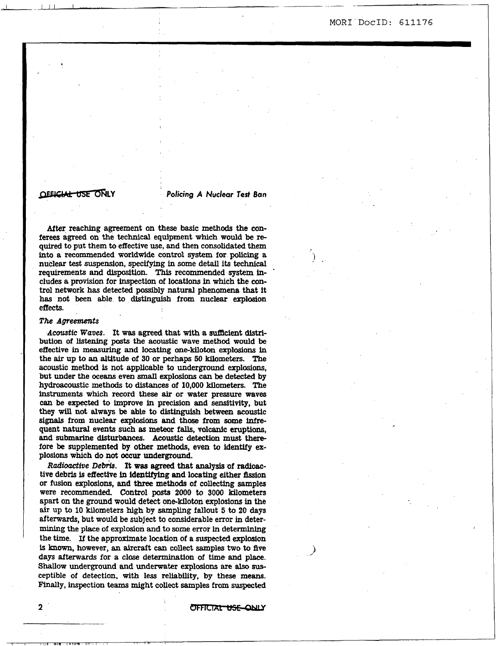**MORI'DOCID: 611176** 

.

**,.j** 

# **OFFICIAL USE ONLY**

*Policing A Nuclear Test Ban* 

**After** reaching agreement on these **basic** methods the conferees agreed on the technical equipment which would **be** re**quired** to put them to effective use, and then consolidated them **into a** recommended worldwide control **system** for **policing** a nuclear test suspension, specifying in some detail its **technical**  requirements and disposition. This recommended **system** includes a provision for inspection of **locations** in which the control network **has** detected possibly natural phenomena that it has not **been** able to *distinguish* from nuclear **explosion**  effects.

# *The Agreements*

*Acoustic Waves.* **It was agreed that with a** *sufacient* distribution *of* **)istening** posts the acoustic wave method would **be**  ef€ective in measuring and **locating** one-kiloton **explasions** in the **air** up to **an** altitude of **30** or **perhaps 50** kilometers. The acoustic method **is** not applicable to underground **explcsions,**  but under the oceans even *small* **explosions** *can* **be** detected by hydroacoustic methods to **distances** of 10,000 kllometers. The instruments which record these *air* or water pressure **waves**  *can* be expected to improve in precision and sensitivity, but they **will not** always **be** able to **distinguish between** acoustic *signals* from nuclear **explosions** and those from **some** infre quent natural events such **as** meteor falls, volcanic eruptions, and submarine disturbances. Acoustic detection must therefore **be** supplemented **by** other methods, even to identify *ex*plosions which do not **occur** underground.

Radioactive Debris. It was agreed that analysis of radioactive debris is effective *in* **identif'ylng** and locating either **fission**  or **fusion** explosions, **and** three methods of collecting samples were recommended Control **posts 2000** to **3000** kilometers apart **on** the ground would detect onekiloton explosions in the **air up to 10** kilometers **high by sampling** fallout. **5 to 20 days**  afterwards, but would **be** subject **to** considerable error in determining the place of **explosion** and to some error in determining the time. If the approximate location of **a** suspected **explosion is known,** however, **an** aircraft can collect samples two to **five**  days afterwards for a close determination of time and place. **Shallow** underground **and** underwater **explosions** are **also** *sus*ceptible of detection, **with** less reliability, **by these means. Finally,** inspection **teams** might collect samples from suspected struments which record these air or water pressure waves<br>instruments which record these air or water pressure waves<br>they mitl not always be able to distinguish between acoustic<br>signals from nuclear explosions and those fro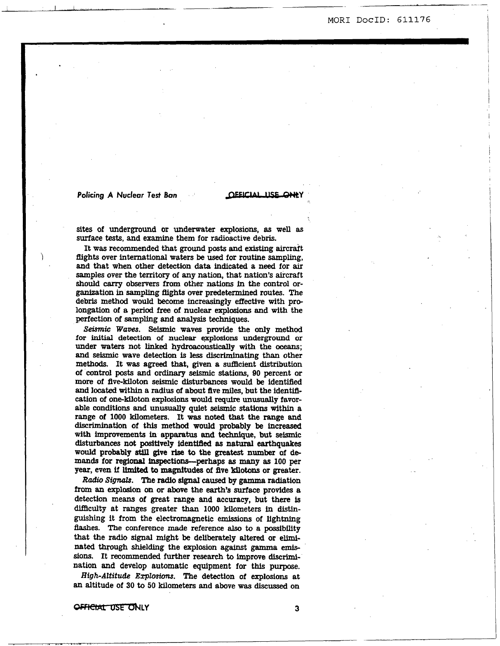# **Policing A Nuclear Test Ban A CLEICIAL USE ONLY**

**sites** of underground or underwater explosions, **as** well **as**  surface **tests,** and examine them for radioactive debris.

It was recommended that ground posts and existing aircraft fIights over international waters **be** used for routine sampling, snd that when other detection **data indicated a need** for **air**  samples over the **territory** of any **nation,** that nation's aircraft should *carry* observers from other **nations** in the control organization in sampling flights over predetermined routes. The debris method would become increasingly eflective with prolongation of a period free of nuclear explosions **and with** the perfection of sampling and **analysis techniques.** 

*Seismic Waoes.* Seismic waves provide the **only** method for **initial** detection **of** nuclear **qxplosions** underground or under **waters** not **linked** hydroacoustically with the *oceans;*  and seismic wave detection is less discriminating than other methods. It was agreed that, given a sufficient distribution of control **posts** and ordinary **seismic stations, 90** percent or **more** of five-kiloton seismic disturbances would **be** identified and **located** within a **radius** of about five **miles,** but the identification of one-kiloton explosions **would** require **unusually** favorable conditions and **unusually** quiet **seismic stations** within a range of **1000** kilometers. It **was** noted that **the** range and **discrimination** of this method would probably **be increased**  with improvements **in** apparatus and technique, but seismic disturbances not positively identifled **as natural** earthquakes would probably *still* give **rise to** the greatest number of demands for **regional** inspections-perhaps *85* **many as 100 per year, even if limited to magnitudes of five kilotons or greater.** 

*Radio Signals.* The radio **signal caused by gamma** radiation **from** an explosion **on** or above the **earth's** surface provides a detection **means** of **great** range and accuracy, but there **Is**  difficulty at ranges greater than 1000 kilometers in distinguishing it from the electromagnetic **emissions** of lightning *flashes.* **The** conference made reference also to a possibility that the radio signal might be deliberately altered or elimi**nated** through shielding the explosion against gamma *emis*sions. It recommended further research to improve discrimination **and** develop automatic equipment for this purpose.

*High-Altitude* Explosions. The detection of explosions at **an** altitude *of* 30 to **50** kilometers and above was discussed on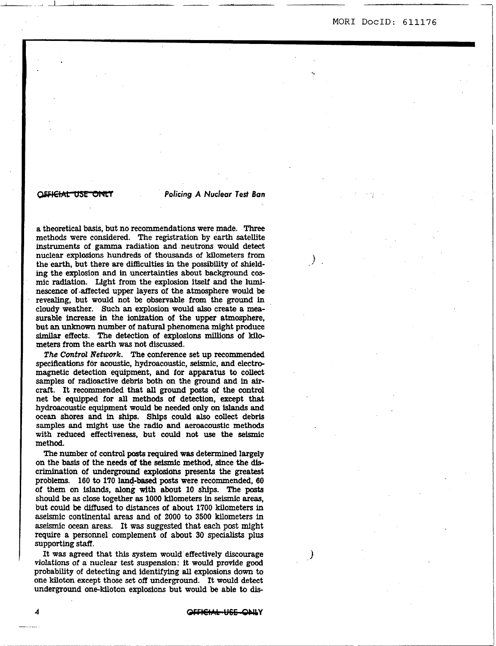*I.* 

**CCFICHAL USE CINLY**<br> **Policing A Nuclear Test Ban**<br> **a** theoretical basis, but no recommendations were made. Three<br>
methods were considered. The registration by earth satellite<br>
instruments of gamma radiation and neutrons a theoretical basis, but no recommendations were made. **Three**  methods were considered. The registration by earth **satellite**  instruments of gamma radiation and neutrons would detect nuclear explosions hundreds of thousands of kilometers from the earth, but there are difficulties in the possibility of shielding the explosion and in uncertainties about background cosmic radiation. Light from the explosion **itself** and the luminescence of .affected upper layers of the atmosphere would **be**  revealing, but would not **be** observable from the ground in cloudy weather. Such an explosion would **also** create a measurable increase in the ionization of the upper atmosphere, but **an unknown number** of natural phenomena might produce similar effects. **The** detection of explosions **millions** of **kilo**meters from the earth was not discussed.

*The Control Xettoork.* The conference set up recommended specifications for acoustic, hydroacoustic, seismic, and electromagnetic detection equipment, and for apparatus to collect samples of radioactive debris both **on** the ground and in **air**craft. It recommended that **all** ground **posts** of the control net **be** equipped for **all** methods of detection, except that hydroacoustic equipment would **be needed only on islands** and ocean **shores** and in shfps. Ships could **also** collect debris samples and might use the radio and aeroacoustic methods with reduced effectiveness, but could not **use** the seismic method.

The number of control **posts** required **was** determined largely **on** the basis of the **needs of** the seismic method, since the **dis**crimination of underground explosions presents the greatest problems. **160** to **170** land-based **posts** were recommended, 60 of them on **islands, along with** about 10 ships. The **posts**  should **be as** close together **as** 1000 kilometers in seismic *areas,*  but could **be** diffused to distances of about 1700 kilometers in &seismic continental **areas** and of 2000 to 3500 kilometers in aseismic **ocean** areas. It was suggested that each post might require a personnel complement of about **30** specialists plus supporting **StafI.** 

It **was** agreed that this system would effectively discourage violations of a nuclear test suspension: it would provide good probabfity of detecting and identifying **all** explosions down to one kiloton except those set **off** underground. It would detect underground one-kiloton explosions but would be able to **dis-**

**4 -Y**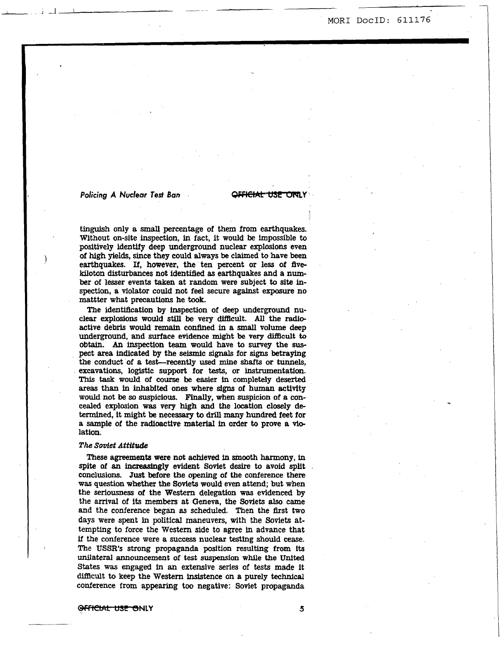# **Policing A Nuclear Test Ban <b>CFFICIAL USE ONLY**

I

**tinguish only** a **small** percentage of them from earthquakes. Without on-site inspection, in fact, it would **be** impossible to positively identify deep underground nuclear **explosions** even **of high** yields, since **they could always be** claimed to have been earthquakes. If, however, the ten percent or less of fivekiloton disturbances not identified **as** earthquakes and a **number** of lesser events *taken* at random were subject to site inspection, a violator could not feel secure against exposure **no**  mattter what precautions he **took.** 

The identiflcation by inspection of deep underground **nu**clear explosions would still be very difficult. All the radioactive debris would **remain** confined in a *small* volume deep underground, **and** surface evidence **might be** very **difEcult** to **obtain.** *An* inspection team would have to survey the *sus*pect area **indicated by** the seismic *signals* for signs **betraying**  the conduct of a test-recently used mine shafts or tunnels, excavations, logistic support for tests, or instrumentation. This task would of course **be** easier in completely deserted areas than in inhabited ones where signs of human activity would **not be** so suspicious. **Finally,** when suspicion of **a** con**cealed** explosion **was** very **high** and **the** location closely determined, it might **be necessary** to **drill many** hundred feet for a sample of the radioactive **material** in order **to** prove **a vie**  lation.

### *The Soviet Attitude*

These **agreements were** not achieved in **smooth harmony,** in spite of **an** increasingly evident Soviet desire to avoid **split**  conclusions. Just **before** the opening **of** the conference there was **question** whether the Soviets would even attend; but when the seriousness of the **Western** delegation **was** evidenced **by**  the arrival of **its** members at Geneva, the **Soviets also** came and the conference began as scheduled. Then the first two **days** were spent in political maneuvers, with the **Soviets** attempting to force the Western side to agree in advance that if the conference were *a* success nuclear **testing should** cease. The **USSR's** strong propaganda position **resulting** from **its unilateral** announcement of test **suspension** while the **United**  States was engaged in **an** extensive **series** of **tests** made it difacult to keep the Western insistence on a purely **technical**  conference from **appearing** too negative: Soviet propaganda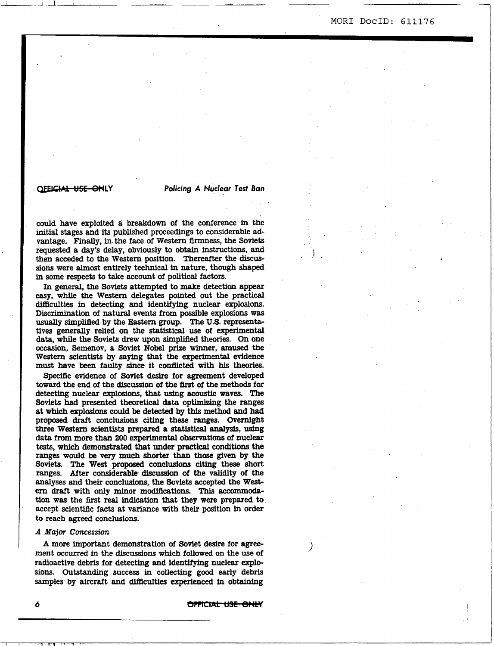$\mathcal{F}_{\mathbf{r}}$ 

# **QLY Policing** *A* Nuclear *Test Ban*

could have exploited a breakdown of the conference in the initial stages and its published proceedings to considerable **ad**vantage. **Finally,** in the face of Western **firmness,** the Soviets requested a **day's** delay, obviously to **obtain** instructions, and then acceded to the Western position. Thereafter the **discussions** were almost entirely technical in nature, though **shaped**  in some respects to take account of political factors.

In general, the Soviets attempted to make detection appear **easy,** while the Western delegates pointed out the practical difaculties in detecting and identifying nuclear **explosions.**  Discrimination of natural events from possible **explosions was usually** simplified **by** the Eastern group. The **US.** representatives generally relied **on** the statistical use of **experimental**  data, while the Soviets drew upon simplified theories. **On** one occasion, Semenov, a Soviet Nobel prize winner, amused the Western scientists **by** saying that the experimental evidence must have **been** faulty since it conflicted with **his** theories.

Specific evidence of Soviet desire for agreement developed toward the end of the discussion of the first of the methods for detecting nuclear **explosions,** that using acoustic waves. The Soviets had presented theoretical data optimizing the ranges at **which** explosions could **be** detected **by** *this* method **and** had proposed draft conclusions citing these ranges. Overnight three **Western** scientists prepared **a** statistical analysis, using data from more than **200 experimental** obserpations of nuclear **tests,** which demonstrated that under **practical** conditions the ranges would **be** very much **shorter** than **those** given by the Soviets. The **West** proposed **conclusions** citing these **short**  ranges. After considerable **discussion of** the validity of the analyses and their conclusions, the **Soviets** accepted the **West**ern draft with **only** minor **modifications. This** accommodation **was** the first real indication that they were prepared to accept scientific facts at variance with their position in order to reach **agreed conclusions.** 

# *A Major* **Concession**

**A** more important demonstration of Soviet desire for **agree**ment occurred in the discussions which **followed** on the use of radioactive debris for detecting and identifying nuclear **expb sions. Outstanding** success in collecting good **early** debris samples by aircraft and difficulties **experienced** in **obtaining** 

OPPICIAL USE ONLY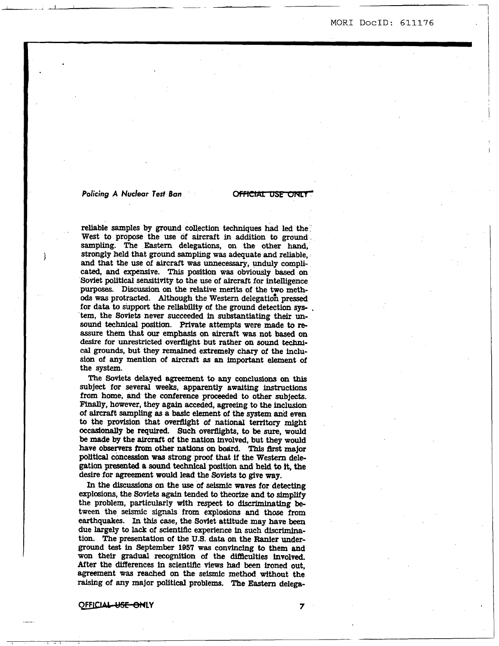<sup>1</sup>1- -1 *2* '1 MOR1 **DOCID: 611176** 

*Policing A Nuclear Test Ban*  reliable samples **by** ground collection **techniques** had led the West *to* propose the use of aircraft in **addition** to ground sampling. The Eastern delegations, on the other hand, **strongly** held that ground sampling was adequate **and** reliable, and that the use of aircraft was unnecessary, unduly complicated, and expensive. This position was obviously based on Soviet political sensitivity **to** the **use** of aircraft for intelligence purposes. Discussion *on* the relative **merits** of the **iyo** meth*ods* was protracted. Although the **Western** delegation pressed for data to support the reliability of the ground detection system, the Soviets never succeeded in substantiating **their unsound** *technical* position. Private attempts were made to re**assure** them that *our* emphasis on aircraft **was not based on desire** for unrestricted overflight but rather **on** sound techni*cal* **grounds,** but they **remained** extremely chary of the inclu*sion* of **any mention** of aircraft **as an** important element of the *system.* 

**The Soviets** delayed agreement to **any** conclusions *on* **this**  subject for several **weeks,** apparently awaiting instructions from home, and the conference proceeded to other subjects. **F'inally,** however, they again acceded, agreeing to the **inclusion**  of ainraft sampling *8s* **a** basic element of the *system* and even to **the** provision that overflight of national territory might **occasionally be** required. Such overflights, *to* **be sure,** would **be** made **by** the aircraft of the nation involved, but they would have observers from other nations on board. This first major political concession was strong proof that if the Western delegation presented **a sound** technical position and held **to** it, **the**  desire for **agreement** would lead the **Soviets** *to* give **way.** 

In the discussions on the use of seismic waves for detecting explosions, the Soviets **again tended** to theorize **and** *to* simplify the problem, particularly with respect to **discriminating be**tween the seismic *signals* from **explosions and** those from earthquakes. In this *case,* the Sovlet attitude may **have been**  due **largely** to lack of scientfffc **experience** in such **dlscrtmina**tion. The presentation of the U.S. data on the Ranier under**ground test in** September **1957** was convincing to them and won their gradual recognition of the difficulties involved. After the differences in scientific views had been ironed out, agreement was reached on the seismic method without the raising of **any** major political problems. **The Eastern** delega-

*0-* **LY** *7*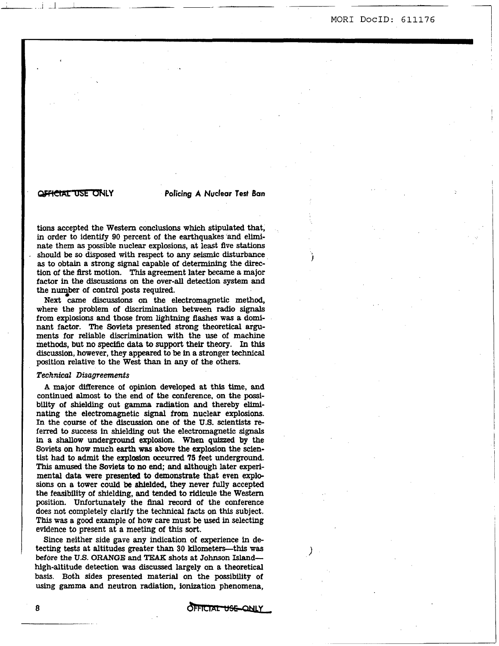I

<sup>L</sup>1 -.l L *~c* 

# **WELCIAL USE ONLY Policing A Nuclear Test Ban**

**I** 

tions accepted the Western conclusions which stipulated that, in order to identify *90* percent of the earthquakes and eliminate them **as** possible nuclear explosions, at least five **stations**  should **be** so disposed with respect to **any seismic** disturbance **as** to obtain a strong signal capable of determining the direction of the first motion. "his agreement later became a major factor in the discussions *on* the over-all detection **system** and the number of control posts required.

Next came **discussions on** the electromagnetic method, where the problem of discrimination **between** radio *signals*  from explosions and those from lightning **flashes** was a dominant factor. The Soviets presented strong theoretical arguments for reliable discrimination **with** the use of machine methods, but no specific **data to** support their theory. In this discussion, however, they appeared to **be** in a stronger technical position relative to the West than in **any** of the others.

# *Technical Disagreements*

A major difference of opinion developed at this time, and continued almost to the end of the conference. on the possibility of shielding out *gamma* radiation and thereby eliminating the electromagnetic signal from nuclear explosions. In the course of the discussion one of the **U.S.** scientists referred to success in shielding out the electromagnetic **signals**  in a **shallow** underground explosion. When **quizzed by** the Soviets on how much earth was above the explosion the scien**tit had** *to* admit the explosion occurred **75** feet underground. This **amused** the Soviets to **no** end; **and** although later experimental **data** were presented to demonstrate that even explo**sions** on a tower could **be** shielded, they never **fully** accepted the feasibility of shielding, and tended to ridicule the **Western**  position. Unfortunately the final record *of* the conference does not completely clarify the technical **facts** on this subject. **This was** a good example of how care must **be** used in selecting evidence to present at **a meeting** of this sort. pression transies to use treats than any of the conducts.<br>
Technical Disagrements'<br>
capacity difference of opinion developed at this time, and<br>
condinued almost to the end of the conderence, on the possi-<br>
bullity of shiel

Since neither side gave **any** indication of experience in detecting **tests** at altitudes greater **than** 30 kilometers-this was **before** the **U.S. ORANGE** and TEAK shots at Johnson Islandhigh-altitude detection was discussed largely on a theoretical basis. Both sides presented **material** on the possibility of **using gamma** and neutron radiation, ionization phenomena,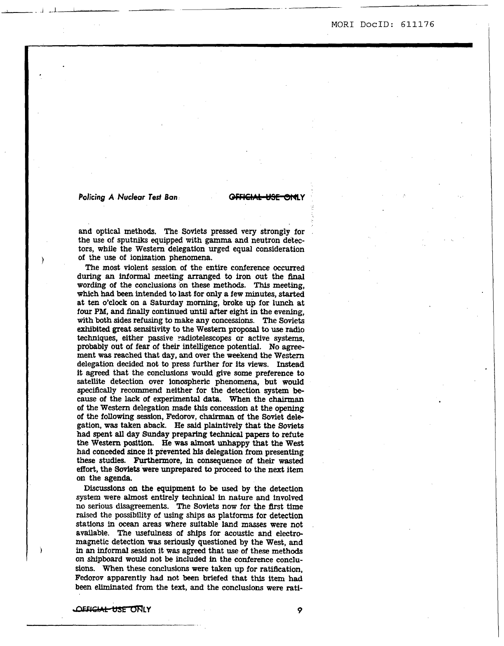# *Policing A Nuclear Test Ban:*

and optical methods. The Soviets pressed very strongly for the use of sputniks equipped with gamma and neutron detectors, while the Western delegation urged equal consideration of the **use** of ionization phenomena.

The most violent session of the entire conference occurred during **an informal** meeting arranged to iron out the final wording of the conclusions on these methods. This meeting, which **had been** intended to last for **only a few** minutes, **started**  at ten o'clock on **a** Saturday **morning,** broke up for lunch at four PM, and **finally** continued **until** after eight in the evening, with both sides refusing to make **any** concessions. The Soviets exhibited great **sensitivity** to the **Western** proposal to **use radio**  techniques, either passive radiotelescopes or active **systems,**  probably out of fear *of* their intelligence potential. **No** agreement was reached that **day,** and over the weekend the **Western**  delegation decided not to press further for its **views. Instead**  it agreed that the conclusions would give some preference to satellite detection over ionospheric phenomena, but would **speci6cally** recommend neither for the detection **system be**cause of the lack of experimental data. When the *chairman*  of the Western delegation made *this* concession at *the* opening of the following **session,** Fedorov, chairman of the Soviet delegation, **was** taken aback. He said plaintively that the Soviets had spent **all** day Sunday preparing technical papers to refute the **Western** position. **He** was almost unhappy that the West had conceded since it prevented **his** delegation from presenting these studies. Furthermore, in consequence of their **wasted effort,** the **Soviek** were unprepared to proceed to the next **item**  on the *agenda.* 

Discussions *on* the equipment **to be used** by the detection **system** were **almost** entirely technical in nature and involved no **serious** disagreements. The Soviets **now** for the flrst time **raised** the possibility of **using ships as** platforms for detection stations in *ocean* areas where suitable land **masses** were **not**  available. The usefulness of ships for acoustic and electromagnetic detection was seriously questioned **by** the West, and in an **informal session** it was agreed that **use** of these methods on **shipboard** would not **be** included **h** the conference conclu**sions.** When these conclusions were taken up for ratification, Fedorov apparently **had** not **been** briefed that this item had **been** eliminated from the text, and the conclusions were rati-

*-CEFIGIAL USE ONLY* 9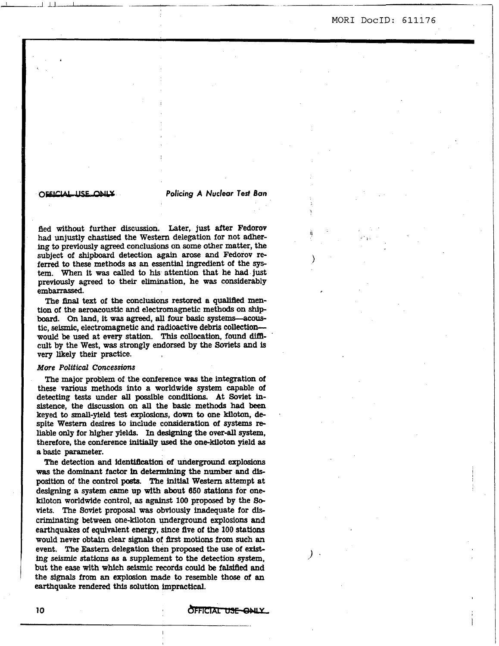# *0-* **Policing** *A Nuclear fed Ban*

ri

 $\sum_{i=1}^{n}$ 

)  $\cdot$ 

*l* 

fled without further **discussion.** Later, **just** after Fedorov had unjustly chastised the Western delegation for not adhering to previously agreed conclusions **on** some other matter, the subject of shipboard detection *again* **arose** and Fedorov referred to these methods **as an** essential ingredient of the *sys*tem. When it was called to his attention that he had just previously agreed to **their** elimination, he **was** considerably embarrassed.

I-J L- - \_\_\_\_ ~

The **final** text of the conclusions restored a **quallfled** mention of the aeroacoustic and electromagnetic methods **on ship**  board. **On** land, it **was** agreed, **all** four basic systems-acoustic, seismic, electromagnetic and radioactive debris **collection**would be used at every station. This collocation, found difficult **by** the West, was strongly endorsed **by** the Soviets and is very likely their practice.

### *More Political Cmessions*

The major problem *of* the conference was the integration of these various methods into a worldwide **system** capable of detecting tests under **all** possible conditions. At Soviet insistence, the **discussion on all** the basic methods **had been**  keyed to small-yield **test** explosions, **down** to one kiloton, despite Western desires to include consideration of **systems** reliable only for higher yields. In designing the over-all system, therefore, the conference **initially used** the **one-kiloton** yield **as**  a basic parameter.

The detection and identification of underground explosians **was** the dominant factor **in** determfning the **number** and **disposition** of the control **posts.** The *initial* Western attempt at designing a system came up with about **650** stations for onekiloton worldwide control, as against 100 proposed by the Soviets. The Soviet proposal **was** obviously inadequate for **dis**criminating between one-kiloton underground explosions **and**  earthquakes of equivalent energy, *since* five of the **100 stations**  would never **obtain** clear *signals* of flrst motions from such **an**  event. The Eastern delegation then proposed the **use** of *exise ing* seismic **stations as a** supplement to the detection system, but the ease with which seismic records could be falsified and the **signals** from **an explosion** made to resemble those **of an**  earthquake rendered **this** solution Impractical.

**OFFICIAL USE ONLY**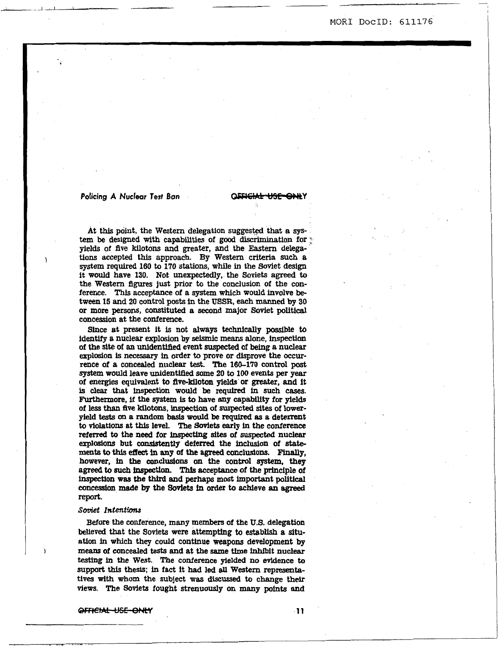# **Policing A Nuclear Test Ban <b>CAFICIAL USE ONL**

At this point, the Western delegation **suggested** that a *sys***tem be** designed **with capabilities** of *good* discrimination for ; yields of five **kilotons** and greater, and the Eastern delega**tions** accepted this approach. **By Westem** criteria *such* a system required **160** *to* **170 stations,** while **in** the Soviet design it would have **130.** Not unexpectedly, the Soviets **agreed** to the **Western** figures **just** prior *to* the conclusion of the conference. *This* acceptance of a *system* which would involve **be**tween **15** and **20** control posts **In** the **USSR, each manned by 30**  or more persons, constituted a second major Soviet political concession at the conference.

Since at present it is not **always technically possible** to identify **B** nuclear explosion **by** seismic means alone, inspectian of the **site** *of* **an** unidentllied event *suspected* of **being a** nuclear explosion is **necessary** in order to prove or disprove the **occur**rence of a concealed nuclear **test.** The **160-1'70** control **post**  *system* would leave midentitied some **20** to **100** events per **year**  of energies equivalent to **flve-kiloton yields** or greater, and it is *clear* that inspection would **be** *required* in *such* cases. Furthermore, if the *system* is to have any capability for **yields**  of less than flve kilotons, inspection of suspected **sites of lower**yield tests **on** a random **basis would be** *required* **as** *a* deterrent to violations at **this** level. The Soviets early in the conference referred to the **need** for **inspecting sites** of **suspected** nuclear explosions but consistently deferred the inclusion of state**ments to this effect in any of the agreed conclusions. Finally, however, in the conclusions on the control system, they agreed to** *such* inapectim Thls *acceptance* of the principle of inspection **was** the *third* and **perhaps mast** important polltical concession made **by** the Soviets in order to achieve **an agreed**  report.

# *Soviet Zntentfons*

**Before** the conference, **many** members of the **U.S.** delegation believed that the Soviets were attempting to **establish** a **situ**ation in which they could continue **weapons** development **by means** of concealed **tests** and at the same **time** inhibit **nuclear**  *testfng* in *the* West. The conference **yielded no** evidence to support **this** thesis: in fact it **had** led **all Westem** representatives **with** whom the **subject was discussed** to change **their**  views. The **Soviets** fought strenuously **on many points and** 

OFFICIAL-USE-ONLY

-11